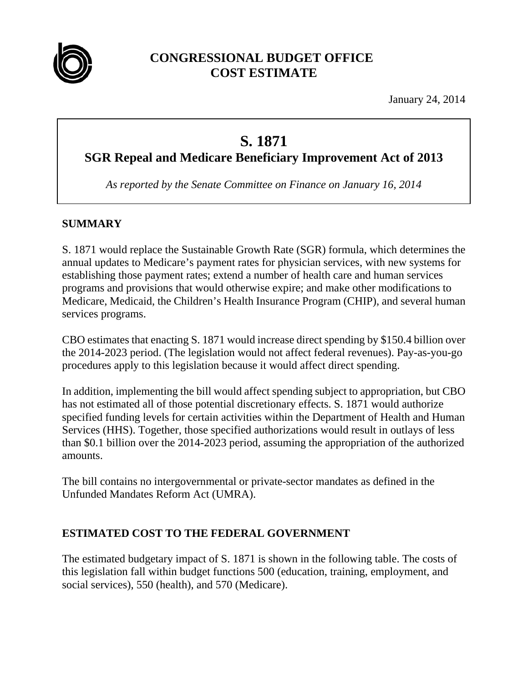

## **CONGRESSIONAL BUDGET OFFICE COST ESTIMATE**

January 24, 2014

# **S. 1871**

**SGR Repeal and Medicare Beneficiary Improvement Act of 2013** 

*As reported by the Senate Committee on Finance on January 16, 2014* 

## **SUMMARY**

S. 1871 would replace the Sustainable Growth Rate (SGR) formula, which determines the annual updates to Medicare's payment rates for physician services, with new systems for establishing those payment rates; extend a number of health care and human services programs and provisions that would otherwise expire; and make other modifications to Medicare, Medicaid, the Children's Health Insurance Program (CHIP), and several human services programs.

CBO estimates that enacting S. 1871 would increase direct spending by \$150.4 billion over the 2014-2023 period. (The legislation would not affect federal revenues). Pay-as-you-go procedures apply to this legislation because it would affect direct spending.

In addition, implementing the bill would affect spending subject to appropriation, but CBO has not estimated all of those potential discretionary effects. S. 1871 would authorize specified funding levels for certain activities within the Department of Health and Human Services (HHS). Together, those specified authorizations would result in outlays of less than \$0.1 billion over the 2014-2023 period, assuming the appropriation of the authorized amounts.

The bill contains no intergovernmental or private-sector mandates as defined in the Unfunded Mandates Reform Act (UMRA).

## **ESTIMATED COST TO THE FEDERAL GOVERNMENT**

The estimated budgetary impact of S. 1871 is shown in the following table. The costs of this legislation fall within budget functions 500 (education, training, employment, and social services), 550 (health), and 570 (Medicare).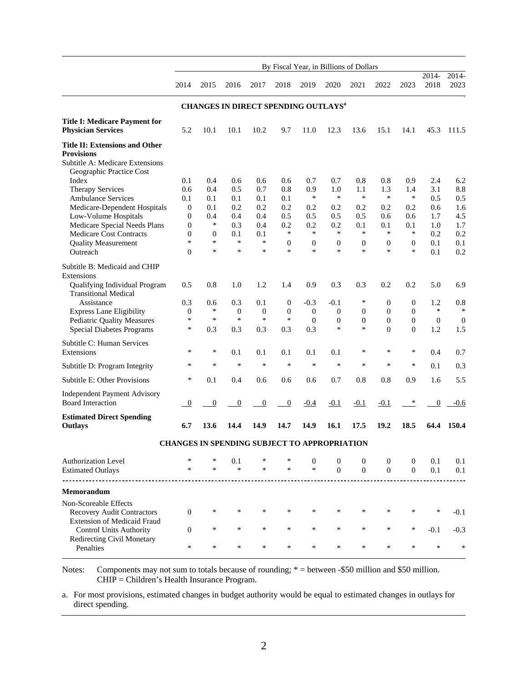|                                                                                                                           | By Fiscal Year, in Billions of Dollars          |                  |                                              |                  |                            |                            |                                  |                          |                              |                            |                |                  |  |  |
|---------------------------------------------------------------------------------------------------------------------------|-------------------------------------------------|------------------|----------------------------------------------|------------------|----------------------------|----------------------------|----------------------------------|--------------------------|------------------------------|----------------------------|----------------|------------------|--|--|
|                                                                                                                           | 2014                                            | 2015             | 2016                                         | 2017             | 2018                       | 2019                       | 2020                             | 2021                     | 2022                         | 2023                       | 2014-<br>2018  | 2014-<br>2023    |  |  |
|                                                                                                                           | CHANGES IN DIRECT SPENDING OUTLAYS <sup>a</sup> |                  |                                              |                  |                            |                            |                                  |                          |                              |                            |                |                  |  |  |
| <b>Title I: Medicare Payment for</b><br><b>Physician Services</b>                                                         | 5.2                                             | 10.1             | 10.1                                         | 10.2             | 9.7                        | 11.0                       | 12.3                             | 13.6                     | 15.1                         | 14.1                       | 45.3           | 111.5            |  |  |
| <b>Title II: Extensions and Other</b><br><b>Provisions</b><br>Subtitle A: Medicare Extensions<br>Geographic Practice Cost |                                                 |                  |                                              |                  |                            |                            |                                  |                          |                              |                            |                |                  |  |  |
| Index                                                                                                                     | 0.1                                             | 0.4              | 0.6                                          | 0.6              | 0.6                        | 0.7                        | 0.7                              | 0.8                      | 0.8                          | 0.9                        | 2.4            | 6.2              |  |  |
| <b>Therapy Services</b>                                                                                                   | 0.6                                             | 0.4              | 0.5                                          | 0.7              | 0.8                        | 0.9                        | 1.0                              | 1.1                      | 1.3                          | 1.4                        | 3.1            | 8.8              |  |  |
| <b>Ambulance Services</b>                                                                                                 | 0.1                                             | 0.1              | 0.1                                          | 0.1              | 0.1                        | $\ast$                     | $\ast$                           | $\ast$                   | $\ast$                       | $\ast$                     | 0.5            | 0.5              |  |  |
| Medicare-Dependent Hospitals                                                                                              | $\theta$                                        | 0.1              | 0.2                                          | 0.2              | 0.2                        | 0.2                        | 0.2                              | 0.2                      | 0.2                          | 0.2                        | 0.6            | 1.6              |  |  |
| Low-Volume Hospitals                                                                                                      | $\mathbf{0}$                                    | 0.4              | 0.4                                          | 0.4              | 0.5                        | 0.5                        | 0.5                              | 0.5                      | 0.6                          | 0.6                        | 1.7            | 4.5              |  |  |
| Medicare Special Needs Plans                                                                                              | $\overline{0}$                                  | $\ast$           | 0.3                                          | 0.4              | 0.2                        | 0.2                        | 0.2                              | 0.1                      | 0.1                          | 0.1                        | 1.0            | 1.7              |  |  |
| <b>Medicare Cost Contracts</b>                                                                                            | $\mathbf{0}$                                    | $\mathbf{0}$     | 0.1                                          | 0.1              | $\ast$                     | $\ast$                     | $\ast$                           | $\ast$                   | $\ast$                       | $\ast$                     | 0.2            | 0.2              |  |  |
| <b>Quality Measurement</b>                                                                                                | $\ast$                                          | $\ast$<br>$\ast$ | $\ast$<br>$\ast$                             | $\ast$<br>$\ast$ | $\boldsymbol{0}$<br>$\ast$ | $\boldsymbol{0}$<br>$\ast$ | $\mathbf{0}$<br>$\ast$           | $\theta$<br>$\ast$       | $\boldsymbol{0}$<br>$\ast$   | $\boldsymbol{0}$<br>$\ast$ | 0.1            | 0.1              |  |  |
| Outreach                                                                                                                  | $\theta$                                        |                  |                                              |                  |                            |                            |                                  |                          |                              |                            | 0.1            | 0.2              |  |  |
| Subtitle B: Medicaid and CHIP<br>Extensions<br>Qualifying Individual Program                                              | 0.5                                             | 0.8              | 1.0                                          | 1.2              | 1.4                        | 0.9                        | 0.3                              | 0.3                      | 0.2                          | 0.2                        | 5.0            | 6.9              |  |  |
| <b>Transitional Medical</b>                                                                                               |                                                 |                  |                                              |                  |                            |                            |                                  |                          |                              |                            |                |                  |  |  |
| Assistance                                                                                                                | 0.3                                             | 0.6              | 0.3                                          | 0.1              | $\boldsymbol{0}$           | $-0.3$                     | $-0.1$                           | $\ast$                   | $\boldsymbol{0}$             | 0                          | 1.2            | 0.8              |  |  |
| <b>Express Lane Eligibility</b>                                                                                           | $\mathbf{0}$                                    | $\ast$           | $\boldsymbol{0}$                             | $\mathbf{0}$     | $\mathbf{0}$               | $\boldsymbol{0}$           | $\mathbf{0}$                     | $\mathbf{0}$             | $\mathbf{0}$                 | $\overline{0}$             | $\ast$         | $\ast$           |  |  |
| <b>Pediatric Quality Measures</b>                                                                                         | $\ast$                                          | $\ast$           | $\ast$                                       | $\ast$           | $\ast$                     | $\boldsymbol{0}$           | $\mathbf{0}$                     | $\mathbf{0}$             | $\mathbf{0}$                 | $\overline{0}$             | $\overline{0}$ | $\boldsymbol{0}$ |  |  |
| <b>Special Diabetes Programs</b>                                                                                          | *                                               | 0.3              | 0.3                                          | 0.3              | 0.3                        | 0.3                        | $\ast$                           | *                        | $\theta$                     | $\overline{0}$             | 1.2            | 1.5              |  |  |
| Subtitle C: Human Services<br>Extensions                                                                                  | *                                               | $\ast$           | 0.1                                          | 0.1              | 0.1                        | 0.1                        | 0.1                              | *                        | *                            | ∗                          | 0.4            | 0.7              |  |  |
| Subtitle D: Program Integrity                                                                                             | $\ast$                                          | *                | $\ast$                                       | $\ast$           | $\ast$                     | $\ast$                     | $\ast$                           | $\ast$                   | $\ast$                       | $\ast$                     | 0.1            | 0.3              |  |  |
| Subtitle E: Other Provisions                                                                                              | $\ast$                                          | 0.1              | 0.4                                          | 0.6              | 0.6                        | 0.6                        | 0.7                              | 0.8                      | 0.8                          | 0.9                        | 1.6            | 5.5              |  |  |
| <b>Independent Payment Advisory</b><br><b>Board Interaction</b>                                                           | $\boldsymbol{0}$                                | $\boldsymbol{0}$ | $\boldsymbol{0}$                             | $\boldsymbol{0}$ | $\boldsymbol{0}$           | $-0.4$                     | $-0.1$                           | $-0.1$                   | $-0.1$                       | ∗                          | $\mathbf{0}$   | $-0.6$           |  |  |
| <b>Estimated Direct Spending</b><br>Outlays                                                                               | 6.7                                             | 13.6             | 14.4                                         | 14.9             | 14.7                       | 14.9                       | 16.1                             | 17.5                     | 19.2                         | 18.5                       | 64.4           | 150.4            |  |  |
|                                                                                                                           |                                                 |                  | CHANGES IN SPENDING SUBJECT TO APPROPRIATION |                  |                            |                            |                                  |                          |                              |                            |                |                  |  |  |
|                                                                                                                           |                                                 |                  |                                              |                  |                            |                            |                                  |                          |                              |                            |                |                  |  |  |
| <b>Authorization Level</b><br><b>Estimated Outlays</b>                                                                    | *<br>*                                          | *<br>$\ast$      | 0.1<br>$\ast$                                | $\ast$           | *                          | $\mathbf{0}$<br>$\ast$     | $\overline{0}$<br>$\overline{0}$ | $\theta$<br>$\mathbf{0}$ | $\mathbf{0}$<br>$\mathbf{0}$ | $\overline{0}$<br>$\Omega$ | 0.1<br>0.1     | 0.1<br>0.1       |  |  |
|                                                                                                                           |                                                 |                  |                                              |                  |                            |                            |                                  |                          |                              |                            |                |                  |  |  |
| <b>Memorandum</b>                                                                                                         |                                                 |                  |                                              |                  |                            |                            |                                  |                          |                              |                            |                |                  |  |  |
| Non-Scoreable Effects                                                                                                     |                                                 |                  |                                              |                  |                            |                            |                                  |                          |                              |                            |                |                  |  |  |
| <b>Recovery Audit Contractors</b>                                                                                         | $\Omega$                                        | $\ast$           | $\ast$                                       | $\ast$           | $\ast$                     | $\ast$                     | *                                | $\ast$                   | *                            | *                          | $\ast$         | $-0.1$           |  |  |
| Extension of Medicaid Fraud                                                                                               |                                                 |                  |                                              |                  |                            |                            |                                  |                          |                              |                            |                |                  |  |  |
| <b>Control Units Authority</b>                                                                                            | $\mathbf{0}$                                    | $\ast$           | $\ast$                                       | $\ast$           | $\ast$                     | $\ast$                     | $\ast$                           | $\ast$                   | $\ast$                       | $\ast$                     | $-0.1$         | $-0.3$           |  |  |
| Redirecting Civil Monetary<br>Penalties                                                                                   | *                                               | *                | *                                            | $\ast$           | $\ast$                     | *                          | *                                | $\ast$                   | $\ast$                       | *                          | $\ast$         | *                |  |  |

Notes: Components may not sum to totals because of rounding;  $* =$  between -\$50 million and \$50 million. CHIP = Children's Health Insurance Program.

a. For most provisions, estimated changes in budget authority would be equal to estimated changes in outlays for direct spending.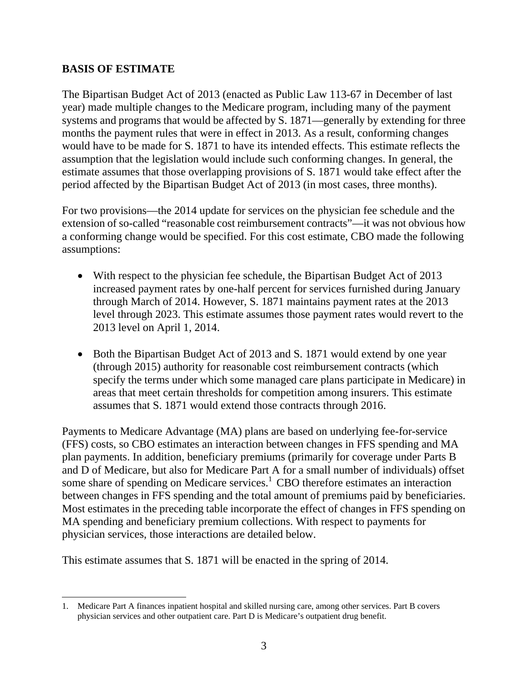#### **BASIS OF ESTIMATE**

 $\overline{\phantom{a}}$ 

The Bipartisan Budget Act of 2013 (enacted as Public Law 113-67 in December of last year) made multiple changes to the Medicare program, including many of the payment systems and programs that would be affected by S. 1871—generally by extending for three months the payment rules that were in effect in 2013. As a result, conforming changes would have to be made for S. 1871 to have its intended effects. This estimate reflects the assumption that the legislation would include such conforming changes. In general, the estimate assumes that those overlapping provisions of S. 1871 would take effect after the period affected by the Bipartisan Budget Act of 2013 (in most cases, three months).

For two provisions—the 2014 update for services on the physician fee schedule and the extension of so-called "reasonable cost reimbursement contracts"—it was not obvious how a conforming change would be specified. For this cost estimate, CBO made the following assumptions:

- With respect to the physician fee schedule, the Bipartisan Budget Act of 2013 increased payment rates by one-half percent for services furnished during January through March of 2014. However, S. 1871 maintains payment rates at the 2013 level through 2023. This estimate assumes those payment rates would revert to the 2013 level on April 1, 2014.
- Both the Bipartisan Budget Act of 2013 and S. 1871 would extend by one year (through 2015) authority for reasonable cost reimbursement contracts (which specify the terms under which some managed care plans participate in Medicare) in areas that meet certain thresholds for competition among insurers. This estimate assumes that S. 1871 would extend those contracts through 2016.

Payments to Medicare Advantage (MA) plans are based on underlying fee-for-service (FFS) costs, so CBO estimates an interaction between changes in FFS spending and MA plan payments. In addition, beneficiary premiums (primarily for coverage under Parts B and D of Medicare, but also for Medicare Part A for a small number of individuals) offset some share of spending on Medicare services. $1$  CBO therefore estimates an interaction between changes in FFS spending and the total amount of premiums paid by beneficiaries. Most estimates in the preceding table incorporate the effect of changes in FFS spending on MA spending and beneficiary premium collections. With respect to payments for physician services, those interactions are detailed below.

This estimate assumes that S. 1871 will be enacted in the spring of 2014.

<sup>1.</sup> Medicare Part A finances inpatient hospital and skilled nursing care, among other services. Part B covers physician services and other outpatient care. Part D is Medicare's outpatient drug benefit.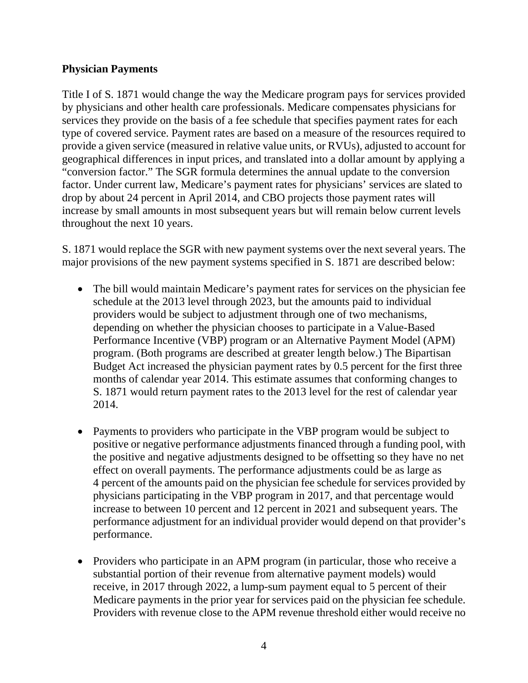#### **Physician Payments**

Title I of S. 1871 would change the way the Medicare program pays for services provided by physicians and other health care professionals. Medicare compensates physicians for services they provide on the basis of a fee schedule that specifies payment rates for each type of covered service. Payment rates are based on a measure of the resources required to provide a given service (measured in relative value units, or RVUs), adjusted to account for geographical differences in input prices, and translated into a dollar amount by applying a "conversion factor." The SGR formula determines the annual update to the conversion factor. Under current law, Medicare's payment rates for physicians' services are slated to drop by about 24 percent in April 2014, and CBO projects those payment rates will increase by small amounts in most subsequent years but will remain below current levels throughout the next 10 years.

S. 1871 would replace the SGR with new payment systems over the next several years. The major provisions of the new payment systems specified in S. 1871 are described below:

- The bill would maintain Medicare's payment rates for services on the physician fee schedule at the 2013 level through 2023, but the amounts paid to individual providers would be subject to adjustment through one of two mechanisms, depending on whether the physician chooses to participate in a Value-Based Performance Incentive (VBP) program or an Alternative Payment Model (APM) program. (Both programs are described at greater length below.) The Bipartisan Budget Act increased the physician payment rates by 0.5 percent for the first three months of calendar year 2014. This estimate assumes that conforming changes to S. 1871 would return payment rates to the 2013 level for the rest of calendar year 2014.
- Payments to providers who participate in the VBP program would be subject to positive or negative performance adjustments financed through a funding pool, with the positive and negative adjustments designed to be offsetting so they have no net effect on overall payments. The performance adjustments could be as large as 4 percent of the amounts paid on the physician fee schedule for services provided by physicians participating in the VBP program in 2017, and that percentage would increase to between 10 percent and 12 percent in 2021 and subsequent years. The performance adjustment for an individual provider would depend on that provider's performance.
- Providers who participate in an APM program (in particular, those who receive a substantial portion of their revenue from alternative payment models) would receive, in 2017 through 2022, a lump-sum payment equal to 5 percent of their Medicare payments in the prior year for services paid on the physician fee schedule. Providers with revenue close to the APM revenue threshold either would receive no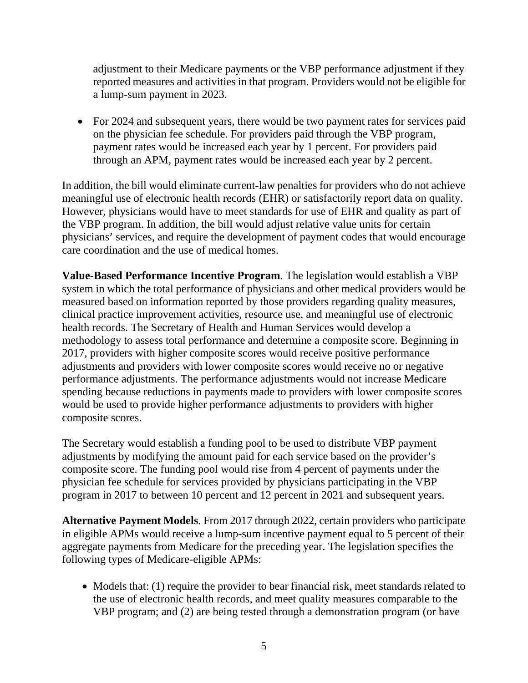adjustment to their Medicare payments or the VBP performance adjustment if they reported measures and activities in that program. Providers would not be eligible for a lump-sum payment in 2023.

• For 2024 and subsequent years, there would be two payment rates for services paid on the physician fee schedule. For providers paid through the VBP program, payment rates would be increased each year by 1 percent. For providers paid through an APM, payment rates would be increased each year by 2 percent.

In addition, the bill would eliminate current-law penalties for providers who do not achieve meaningful use of electronic health records (EHR) or satisfactorily report data on quality. However, physicians would have to meet standards for use of EHR and quality as part of the VBP program. In addition, the bill would adjust relative value units for certain physicians' services, and require the development of payment codes that would encourage care coordination and the use of medical homes.

**Value-Based Performance Incentive Program**. The legislation would establish a VBP system in which the total performance of physicians and other medical providers would be measured based on information reported by those providers regarding quality measures, clinical practice improvement activities, resource use, and meaningful use of electronic health records. The Secretary of Health and Human Services would develop a methodology to assess total performance and determine a composite score. Beginning in 2017, providers with higher composite scores would receive positive performance adjustments and providers with lower composite scores would receive no or negative performance adjustments. The performance adjustments would not increase Medicare spending because reductions in payments made to providers with lower composite scores would be used to provide higher performance adjustments to providers with higher composite scores.

The Secretary would establish a funding pool to be used to distribute VBP payment adjustments by modifying the amount paid for each service based on the provider's composite score. The funding pool would rise from 4 percent of payments under the physician fee schedule for services provided by physicians participating in the VBP program in 2017 to between 10 percent and 12 percent in 2021 and subsequent years.

**Alternative Payment Models**. From 2017 through 2022, certain providers who participate in eligible APMs would receive a lump-sum incentive payment equal to 5 percent of their aggregate payments from Medicare for the preceding year. The legislation specifies the following types of Medicare-eligible APMs:

• Models that: (1) require the provider to bear financial risk, meet standards related to the use of electronic health records, and meet quality measures comparable to the VBP program; and (2) are being tested through a demonstration program (or have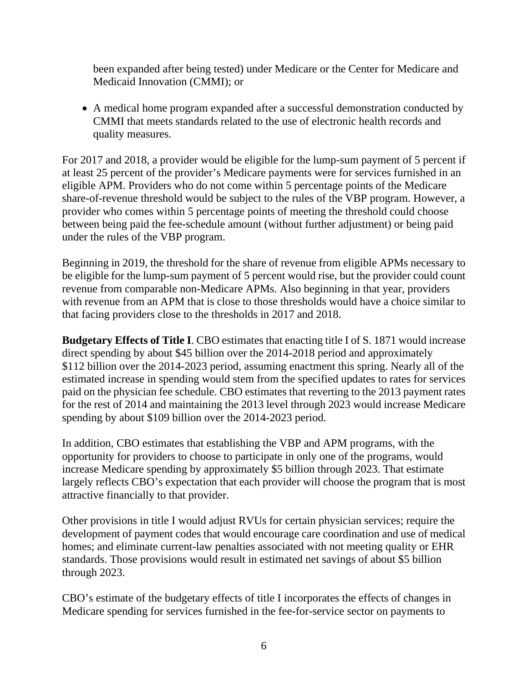been expanded after being tested) under Medicare or the Center for Medicare and Medicaid Innovation (CMMI); or

 A medical home program expanded after a successful demonstration conducted by CMMI that meets standards related to the use of electronic health records and quality measures.

For 2017 and 2018, a provider would be eligible for the lump-sum payment of 5 percent if at least 25 percent of the provider's Medicare payments were for services furnished in an eligible APM. Providers who do not come within 5 percentage points of the Medicare share-of-revenue threshold would be subject to the rules of the VBP program. However, a provider who comes within 5 percentage points of meeting the threshold could choose between being paid the fee-schedule amount (without further adjustment) or being paid under the rules of the VBP program.

Beginning in 2019, the threshold for the share of revenue from eligible APMs necessary to be eligible for the lump-sum payment of 5 percent would rise, but the provider could count revenue from comparable non-Medicare APMs. Also beginning in that year, providers with revenue from an APM that is close to those thresholds would have a choice similar to that facing providers close to the thresholds in 2017 and 2018.

**Budgetary Effects of Title I**. CBO estimates that enacting title I of S. 1871 would increase direct spending by about \$45 billion over the 2014-2018 period and approximately \$112 billion over the 2014-2023 period, assuming enactment this spring. Nearly all of the estimated increase in spending would stem from the specified updates to rates for services paid on the physician fee schedule. CBO estimates that reverting to the 2013 payment rates for the rest of 2014 and maintaining the 2013 level through 2023 would increase Medicare spending by about \$109 billion over the 2014-2023 period.

In addition, CBO estimates that establishing the VBP and APM programs, with the opportunity for providers to choose to participate in only one of the programs, would increase Medicare spending by approximately \$5 billion through 2023. That estimate largely reflects CBO's expectation that each provider will choose the program that is most attractive financially to that provider.

Other provisions in title I would adjust RVUs for certain physician services; require the development of payment codes that would encourage care coordination and use of medical homes; and eliminate current-law penalties associated with not meeting quality or EHR standards. Those provisions would result in estimated net savings of about \$5 billion through 2023.

CBO's estimate of the budgetary effects of title I incorporates the effects of changes in Medicare spending for services furnished in the fee-for-service sector on payments to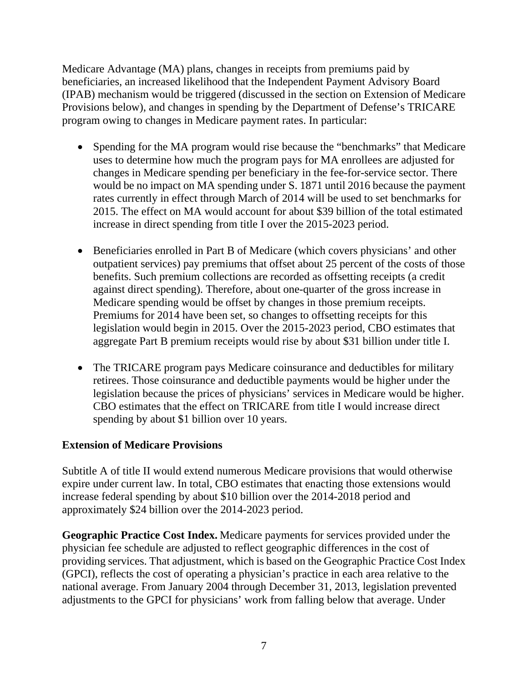Medicare Advantage (MA) plans, changes in receipts from premiums paid by beneficiaries, an increased likelihood that the Independent Payment Advisory Board (IPAB) mechanism would be triggered (discussed in the section on Extension of Medicare Provisions below), and changes in spending by the Department of Defense's TRICARE program owing to changes in Medicare payment rates. In particular:

- Spending for the MA program would rise because the "benchmarks" that Medicare uses to determine how much the program pays for MA enrollees are adjusted for changes in Medicare spending per beneficiary in the fee-for-service sector. There would be no impact on MA spending under S. 1871 until 2016 because the payment rates currently in effect through March of 2014 will be used to set benchmarks for 2015. The effect on MA would account for about \$39 billion of the total estimated increase in direct spending from title I over the 2015-2023 period.
- Beneficiaries enrolled in Part B of Medicare (which covers physicians' and other outpatient services) pay premiums that offset about 25 percent of the costs of those benefits. Such premium collections are recorded as offsetting receipts (a credit against direct spending). Therefore, about one-quarter of the gross increase in Medicare spending would be offset by changes in those premium receipts. Premiums for 2014 have been set, so changes to offsetting receipts for this legislation would begin in 2015. Over the 2015-2023 period, CBO estimates that aggregate Part B premium receipts would rise by about \$31 billion under title I.
- The TRICARE program pays Medicare coinsurance and deductibles for military retirees. Those coinsurance and deductible payments would be higher under the legislation because the prices of physicians' services in Medicare would be higher. CBO estimates that the effect on TRICARE from title I would increase direct spending by about \$1 billion over 10 years.

## **Extension of Medicare Provisions**

Subtitle A of title II would extend numerous Medicare provisions that would otherwise expire under current law. In total, CBO estimates that enacting those extensions would increase federal spending by about \$10 billion over the 2014-2018 period and approximately \$24 billion over the 2014-2023 period.

**Geographic Practice Cost Index.** Medicare payments for services provided under the physician fee schedule are adjusted to reflect geographic differences in the cost of providing services. That adjustment, which is based on the Geographic Practice Cost Index (GPCI), reflects the cost of operating a physician's practice in each area relative to the national average. From January 2004 through December 31, 2013, legislation prevented adjustments to the GPCI for physicians' work from falling below that average. Under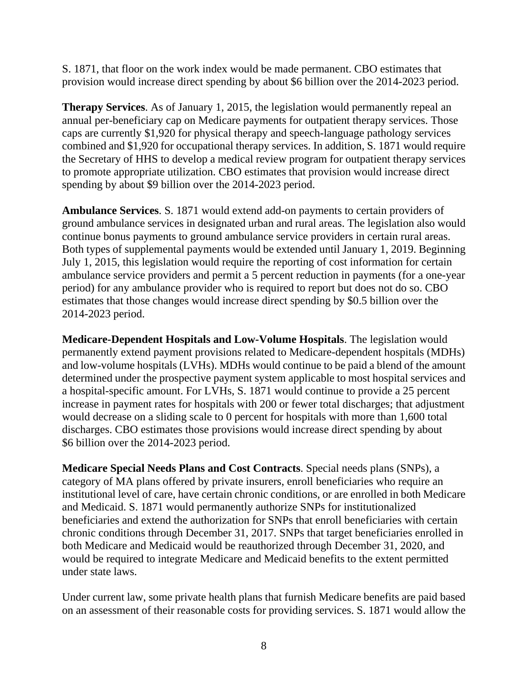S. 1871, that floor on the work index would be made permanent. CBO estimates that provision would increase direct spending by about \$6 billion over the 2014-2023 period.

**Therapy Services**. As of January 1, 2015, the legislation would permanently repeal an annual per-beneficiary cap on Medicare payments for outpatient therapy services. Those caps are currently \$1,920 for physical therapy and speech-language pathology services combined and \$1,920 for occupational therapy services. In addition, S. 1871 would require the Secretary of HHS to develop a medical review program for outpatient therapy services to promote appropriate utilization. CBO estimates that provision would increase direct spending by about \$9 billion over the 2014-2023 period.

**Ambulance Services**. S. 1871 would extend add-on payments to certain providers of ground ambulance services in designated urban and rural areas. The legislation also would continue bonus payments to ground ambulance service providers in certain rural areas. Both types of supplemental payments would be extended until January 1, 2019. Beginning July 1, 2015, this legislation would require the reporting of cost information for certain ambulance service providers and permit a 5 percent reduction in payments (for a one-year period) for any ambulance provider who is required to report but does not do so. CBO estimates that those changes would increase direct spending by \$0.5 billion over the 2014-2023 period.

**Medicare-Dependent Hospitals and Low-Volume Hospitals**. The legislation would permanently extend payment provisions related to Medicare-dependent hospitals (MDHs) and low-volume hospitals (LVHs). MDHs would continue to be paid a blend of the amount determined under the prospective payment system applicable to most hospital services and a hospital-specific amount. For LVHs, S. 1871 would continue to provide a 25 percent increase in payment rates for hospitals with 200 or fewer total discharges; that adjustment would decrease on a sliding scale to 0 percent for hospitals with more than 1,600 total discharges. CBO estimates those provisions would increase direct spending by about \$6 billion over the 2014-2023 period.

**Medicare Special Needs Plans and Cost Contracts**. Special needs plans (SNPs), a category of MA plans offered by private insurers, enroll beneficiaries who require an institutional level of care, have certain chronic conditions, or are enrolled in both Medicare and Medicaid. S. 1871 would permanently authorize SNPs for institutionalized beneficiaries and extend the authorization for SNPs that enroll beneficiaries with certain chronic conditions through December 31, 2017. SNPs that target beneficiaries enrolled in both Medicare and Medicaid would be reauthorized through December 31, 2020, and would be required to integrate Medicare and Medicaid benefits to the extent permitted under state laws.

Under current law, some private health plans that furnish Medicare benefits are paid based on an assessment of their reasonable costs for providing services. S. 1871 would allow the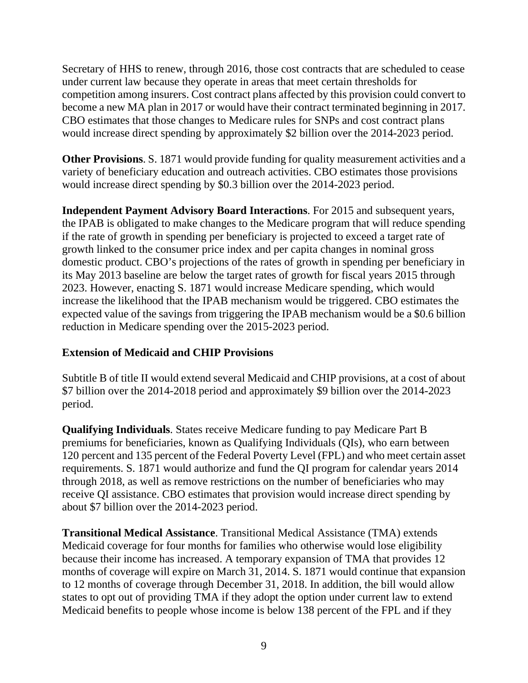Secretary of HHS to renew, through 2016, those cost contracts that are scheduled to cease under current law because they operate in areas that meet certain thresholds for competition among insurers. Cost contract plans affected by this provision could convert to become a new MA plan in 2017 or would have their contract terminated beginning in 2017. CBO estimates that those changes to Medicare rules for SNPs and cost contract plans would increase direct spending by approximately \$2 billion over the 2014-2023 period.

**Other Provisions**. S. 1871 would provide funding for quality measurement activities and a variety of beneficiary education and outreach activities. CBO estimates those provisions would increase direct spending by \$0.3 billion over the 2014-2023 period.

**Independent Payment Advisory Board Interactions**. For 2015 and subsequent years, the IPAB is obligated to make changes to the Medicare program that will reduce spending if the rate of growth in spending per beneficiary is projected to exceed a target rate of growth linked to the consumer price index and per capita changes in nominal gross domestic product. CBO's projections of the rates of growth in spending per beneficiary in its May 2013 baseline are below the target rates of growth for fiscal years 2015 through 2023. However, enacting S. 1871 would increase Medicare spending, which would increase the likelihood that the IPAB mechanism would be triggered. CBO estimates the expected value of the savings from triggering the IPAB mechanism would be a \$0.6 billion reduction in Medicare spending over the 2015-2023 period.

## **Extension of Medicaid and CHIP Provisions**

Subtitle B of title II would extend several Medicaid and CHIP provisions, at a cost of about \$7 billion over the 2014-2018 period and approximately \$9 billion over the 2014-2023 period.

**Qualifying Individuals**. States receive Medicare funding to pay Medicare Part B premiums for beneficiaries, known as Qualifying Individuals (QIs), who earn between 120 percent and 135 percent of the Federal Poverty Level (FPL) and who meet certain asset requirements. S. 1871 would authorize and fund the QI program for calendar years 2014 through 2018, as well as remove restrictions on the number of beneficiaries who may receive QI assistance. CBO estimates that provision would increase direct spending by about \$7 billion over the 2014-2023 period.

**Transitional Medical Assistance**. Transitional Medical Assistance (TMA) extends Medicaid coverage for four months for families who otherwise would lose eligibility because their income has increased. A temporary expansion of TMA that provides 12 months of coverage will expire on March 31, 2014. S. 1871 would continue that expansion to 12 months of coverage through December 31, 2018. In addition, the bill would allow states to opt out of providing TMA if they adopt the option under current law to extend Medicaid benefits to people whose income is below 138 percent of the FPL and if they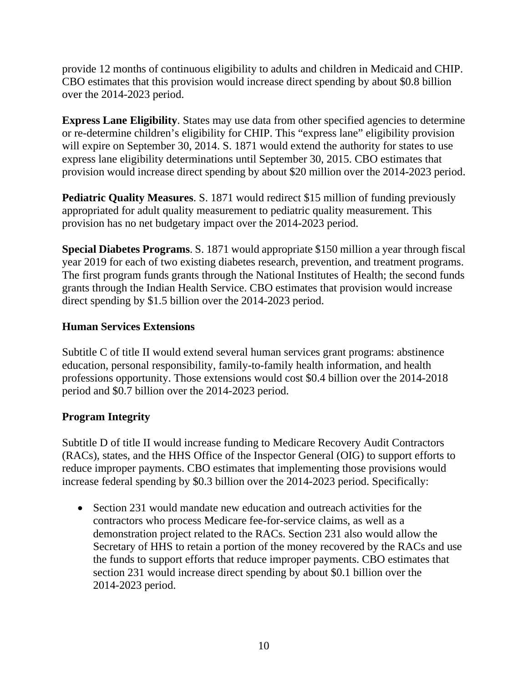provide 12 months of continuous eligibility to adults and children in Medicaid and CHIP. CBO estimates that this provision would increase direct spending by about \$0.8 billion over the 2014-2023 period.

**Express Lane Eligibility**. States may use data from other specified agencies to determine or re-determine children's eligibility for CHIP. This "express lane" eligibility provision will expire on September 30, 2014. S. 1871 would extend the authority for states to use express lane eligibility determinations until September 30, 2015. CBO estimates that provision would increase direct spending by about \$20 million over the 2014-2023 period.

**Pediatric Quality Measures.** S. 1871 would redirect \$15 million of funding previously appropriated for adult quality measurement to pediatric quality measurement. This provision has no net budgetary impact over the 2014-2023 period.

**Special Diabetes Programs**. S. 1871 would appropriate \$150 million a year through fiscal year 2019 for each of two existing diabetes research, prevention, and treatment programs. The first program funds grants through the National Institutes of Health; the second funds grants through the Indian Health Service. CBO estimates that provision would increase direct spending by \$1.5 billion over the 2014-2023 period.

## **Human Services Extensions**

Subtitle C of title II would extend several human services grant programs: abstinence education, personal responsibility, family-to-family health information, and health professions opportunity. Those extensions would cost \$0.4 billion over the 2014-2018 period and \$0.7 billion over the 2014-2023 period.

#### **Program Integrity**

Subtitle D of title II would increase funding to Medicare Recovery Audit Contractors (RACs), states, and the HHS Office of the Inspector General (OIG) to support efforts to reduce improper payments. CBO estimates that implementing those provisions would increase federal spending by \$0.3 billion over the 2014-2023 period. Specifically:

• Section 231 would mandate new education and outreach activities for the contractors who process Medicare fee-for-service claims, as well as a demonstration project related to the RACs. Section 231 also would allow the Secretary of HHS to retain a portion of the money recovered by the RACs and use the funds to support efforts that reduce improper payments. CBO estimates that section 231 would increase direct spending by about \$0.1 billion over the 2014-2023 period.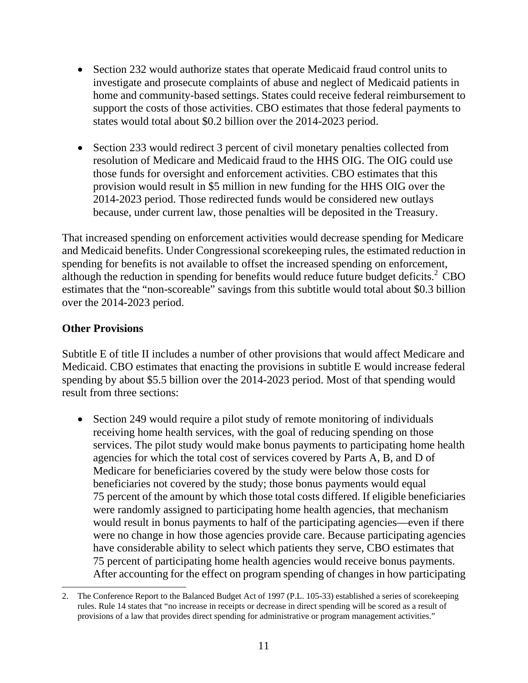- Section 232 would authorize states that operate Medicaid fraud control units to investigate and prosecute complaints of abuse and neglect of Medicaid patients in home and community-based settings. States could receive federal reimbursement to support the costs of those activities. CBO estimates that those federal payments to states would total about \$0.2 billion over the 2014-2023 period.
- Section 233 would redirect 3 percent of civil monetary penalties collected from resolution of Medicare and Medicaid fraud to the HHS OIG. The OIG could use those funds for oversight and enforcement activities. CBO estimates that this provision would result in \$5 million in new funding for the HHS OIG over the 2014-2023 period. Those redirected funds would be considered new outlays because, under current law, those penalties will be deposited in the Treasury.

That increased spending on enforcement activities would decrease spending for Medicare and Medicaid benefits. Under Congressional scorekeeping rules, the estimated reduction in spending for benefits is not available to offset the increased spending on enforcement, although the reduction in spending for benefits would reduce future budget deficits. $2 \text{ CBO}$ estimates that the "non-scoreable" savings from this subtitle would total about \$0.3 billion over the 2014-2023 period.

#### **Other Provisions**

Subtitle E of title II includes a number of other provisions that would affect Medicare and Medicaid. CBO estimates that enacting the provisions in subtitle E would increase federal spending by about \$5.5 billion over the 2014-2023 period. Most of that spending would result from three sections:

• Section 249 would require a pilot study of remote monitoring of individuals receiving home health services, with the goal of reducing spending on those services. The pilot study would make bonus payments to participating home health agencies for which the total cost of services covered by Parts A, B, and D of Medicare for beneficiaries covered by the study were below those costs for beneficiaries not covered by the study; those bonus payments would equal 75 percent of the amount by which those total costs differed. If eligible beneficiaries were randomly assigned to participating home health agencies, that mechanism would result in bonus payments to half of the participating agencies—even if there were no change in how those agencies provide care. Because participating agencies have considerable ability to select which patients they serve, CBO estimates that 75 percent of participating home health agencies would receive bonus payments. After accounting for the effect on program spending of changes in how participating

l 2. The Conference Report to the Balanced Budget Act of 1997 (P.L. 105-33) established a series of scorekeeping rules. Rule 14 states that "no increase in receipts or decrease in direct spending will be scored as a result of provisions of a law that provides direct spending for administrative or program management activities."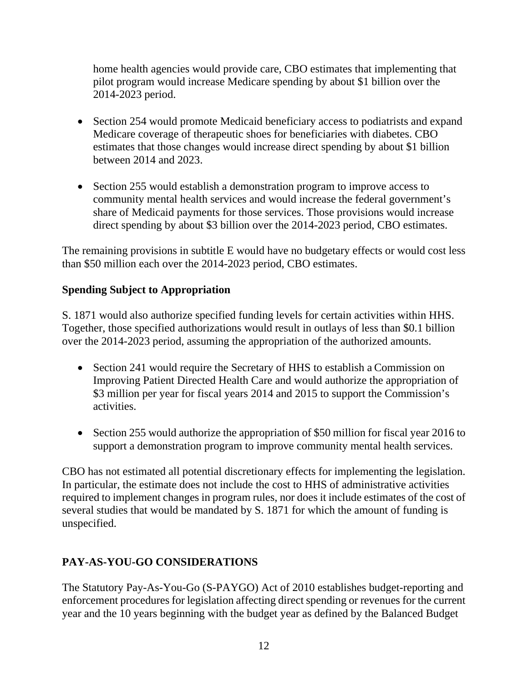home health agencies would provide care, CBO estimates that implementing that pilot program would increase Medicare spending by about \$1 billion over the 2014-2023 period.

- Section 254 would promote Medicaid beneficiary access to podiatrists and expand Medicare coverage of therapeutic shoes for beneficiaries with diabetes. CBO estimates that those changes would increase direct spending by about \$1 billion between 2014 and 2023.
- Section 255 would establish a demonstration program to improve access to community mental health services and would increase the federal government's share of Medicaid payments for those services. Those provisions would increase direct spending by about \$3 billion over the 2014-2023 period, CBO estimates.

The remaining provisions in subtitle E would have no budgetary effects or would cost less than \$50 million each over the 2014-2023 period, CBO estimates.

## **Spending Subject to Appropriation**

S. 1871 would also authorize specified funding levels for certain activities within HHS. Together, those specified authorizations would result in outlays of less than \$0.1 billion over the 2014-2023 period, assuming the appropriation of the authorized amounts.

- Section 241 would require the Secretary of HHS to establish a Commission on Improving Patient Directed Health Care and would authorize the appropriation of \$3 million per year for fiscal years 2014 and 2015 to support the Commission's activities.
- Section 255 would authorize the appropriation of \$50 million for fiscal year 2016 to support a demonstration program to improve community mental health services.

CBO has not estimated all potential discretionary effects for implementing the legislation. In particular, the estimate does not include the cost to HHS of administrative activities required to implement changes in program rules, nor does it include estimates of the cost of several studies that would be mandated by S. 1871 for which the amount of funding is unspecified.

## **PAY-AS-YOU-GO CONSIDERATIONS**

The Statutory Pay-As-You-Go (S-PAYGO) Act of 2010 establishes budget-reporting and enforcement procedures for legislation affecting direct spending or revenues for the current year and the 10 years beginning with the budget year as defined by the Balanced Budget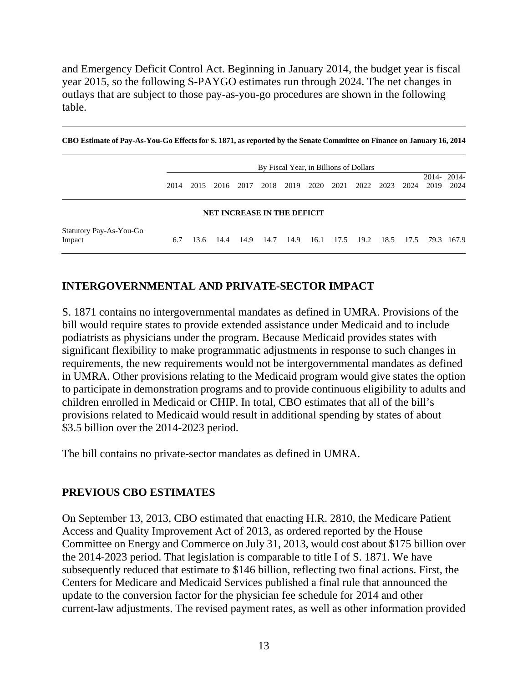and Emergency Deficit Control Act. Beginning in January 2014, the budget year is fiscal year 2015, so the following S-PAYGO estimates run through 2024. The net changes in outlays that are subject to those pay-as-you-go procedures are shown in the following table.

**CBO Estimate of Pay-As-You-Go Effects for S. 1871, as reported by the Senate Committee on Finance on January 16, 2014**

|                                    | By Fiscal Year, in Billions of Dollars |      |      |      |      |      |      |      |      |           |      |                    |      |
|------------------------------------|----------------------------------------|------|------|------|------|------|------|------|------|-----------|------|--------------------|------|
|                                    | 2014                                   | 2015 | 2016 | 2017 | 2018 | 2019 | 2020 | 2021 |      | 2022 2023 | 2024 | 2014-2014-<br>2019 | 2024 |
| <b>NET INCREASE IN THE DEFICIT</b> |                                        |      |      |      |      |      |      |      |      |           |      |                    |      |
| Statutory Pay-As-You-Go<br>Impact  | 6.7                                    | 13.6 | 14.4 | 14.9 | 14.7 | 14.9 | 16.1 | 17.5 | 19.2 | 18.5      |      | 17.5 79.3 167.9    |      |

#### **INTERGOVERNMENTAL AND PRIVATE-SECTOR IMPACT**

S. 1871 contains no intergovernmental mandates as defined in UMRA. Provisions of the bill would require states to provide extended assistance under Medicaid and to include podiatrists as physicians under the program. Because Medicaid provides states with significant flexibility to make programmatic adjustments in response to such changes in requirements, the new requirements would not be intergovernmental mandates as defined in UMRA. Other provisions relating to the Medicaid program would give states the option to participate in demonstration programs and to provide continuous eligibility to adults and children enrolled in Medicaid or CHIP. In total, CBO estimates that all of the bill's provisions related to Medicaid would result in additional spending by states of about \$3.5 billion over the 2014-2023 period.

The bill contains no private-sector mandates as defined in UMRA.

#### **PREVIOUS CBO ESTIMATES**

On September 13, 2013, CBO estimated that enacting H.R. 2810, the Medicare Patient Access and Quality Improvement Act of 2013, as ordered reported by the House Committee on Energy and Commerce on July 31, 2013, would cost about \$175 billion over the 2014-2023 period. That legislation is comparable to title I of S. 1871. We have subsequently reduced that estimate to \$146 billion, reflecting two final actions. First, the Centers for Medicare and Medicaid Services published a final rule that announced the update to the conversion factor for the physician fee schedule for 2014 and other current-law adjustments. The revised payment rates, as well as other information provided